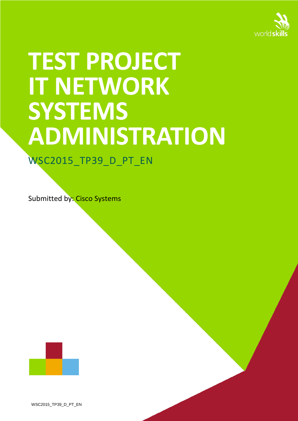

# **TEST PROJECT IT NETWORK SYSTEMS ADMINISTRATION**

WSC2015\_TP39\_D\_PT\_EN

Submitted by: Cisco Systems



WSC2015\_TP39\_D\_PT\_EN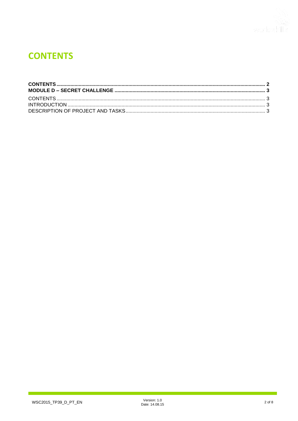

# <span id="page-1-0"></span>**CONTENTS**

٦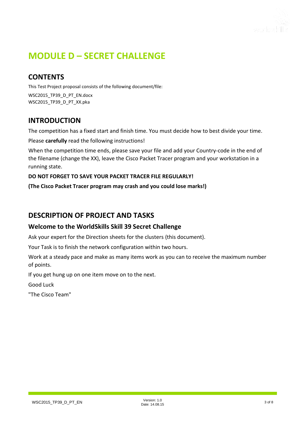

# <span id="page-2-0"></span>**MODULE D – SECRET CHALLENGE**

# <span id="page-2-1"></span>**CONTENTS**

This Test Project proposal consists of the following document/file:

WSC2015\_TP39\_D\_PT\_EN.docx WSC2015\_TP39\_D\_PT\_XX.pka

# <span id="page-2-2"></span>**INTRODUCTION**

The competition has a fixed start and finish time. You must decide how to best divide your time.

Please **carefully** read the following instructions!

When the competition time ends, please save your file and add your Country-code in the end of the filename (change the XX), leave the Cisco Packet Tracer program and your workstation in a running state.

#### **DO NOT FORGET TO SAVE YOUR PACKET TRACER FILE REGULARLY!**

**(The Cisco Packet Tracer program may crash and you could lose marks!)**

## <span id="page-2-3"></span>**DESCRIPTION OF PROJECT AND TASKS**

#### **Welcome to the WorldSkills Skill 39 Secret Challenge**

Ask your expert for the Direction sheets for the clusters (this document).

Your Task is to finish the network configuration within two hours.

Work at a steady pace and make as many items work as you can to receive the maximum number of points.

If you get hung up on one item move on to the next.

Good Luck

"The Cisco Team"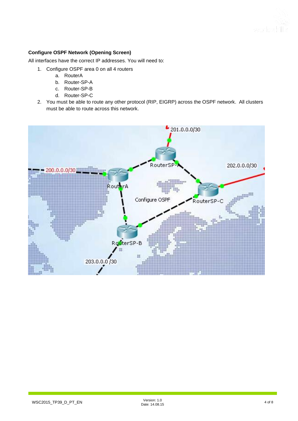#### **Configure OSPF Network (Opening Screen)**

All interfaces have the correct IP addresses. You will need to:

- 1. Configure OSPF area 0 on all 4 routers
	- a. RouterA
	- b. Router-SP-A
	- c. Router-SP-B
	- d. Router-SP-C
- 2. You must be able to route any other protocol (RIP, EIGRP) across the OSPF network. All clusters must be able to route across this network.

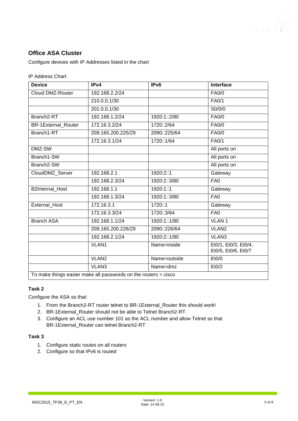### **Office ASA Cluster**

Configure devices with IP Addresses listed in the chart

#### IP Address Chart

| <b>Device</b>              | IPv4                                                              | IPv6         | <b>Interface</b>                            |
|----------------------------|-------------------------------------------------------------------|--------------|---------------------------------------------|
| Cloud DMZ-Router           | 192.168.2.2/24                                                    |              | <b>FA0/0</b>                                |
|                            | 210.0.0.1/30                                                      |              | FA0/1                                       |
|                            | 201.0.0.1/30                                                      |              | SO/0/0                                      |
| Branch2-RT                 | 192.168.1.2/24                                                    | 1920:1::2/80 | <b>FA0/0</b>                                |
| <b>BR-1External Router</b> | 172.16.3.2/24                                                     | 1720::2/64   | <b>FA0/0</b>                                |
| Branch1-RT                 | 209.165.200.225/29                                                | 2090::225/64 | <b>FA0/0</b>                                |
|                            | 172.16.3.1/24                                                     | 1720::1/64   | FA0/1                                       |
| DMZ-SW                     |                                                                   |              | All ports on                                |
| Branch1-SW                 |                                                                   |              | All ports on                                |
| Branch2-SW                 |                                                                   |              | All ports on                                |
| CloudDMZ Server            | 192.168.2.1                                                       | 1920:2::1    | Gateway                                     |
|                            | 192.168.2.3/24                                                    | 1920:2::3/80 | FA <sub>0</sub>                             |
| <b>B2Internal Host</b>     | 192.168.1.1                                                       | 1920:1::1    | Gateway                                     |
|                            | 192.168.1.3/24                                                    | 1920:1::3/80 | FA <sub>0</sub>                             |
| External_Host              | 172.16.3.1                                                        | 1720::1      | Gateway                                     |
|                            | 172.16.3.3/24                                                     | 1720::3/64   | FA <sub>0</sub>                             |
| <b>Branch ASA</b>          | 192.168.1.1/24                                                    | 1920:1::1/80 | <b>VLAN1</b>                                |
|                            | 209.165.200.226/29                                                | 2090::226/64 | VLAN <sub>2</sub>                           |
|                            | 192.168.2.1/24                                                    | 1920:2::1/80 | VLAN3                                       |
|                            | VLAN1                                                             | Name=inside  | Et0/1, Et0/3, Et0/4,<br>Et0/5, Et0/6, Et0/7 |
|                            | VLAN2                                                             | Name=outside | Et0/0                                       |
|                            | VLAN3                                                             | Name=dmz     | Et0/2                                       |
|                            | To make things easier make all passwords on the routers $=$ cisco |              |                                             |

#### **Task 2**

Configure the ASA so that:

- 1. From the Branch2-RT router telnet to BR-1External\_Router this should work!
- 2. BR-1External\_Router should not be able to Telnet Branch2-RT.
- 3. Configure an ACL use number 101 as the ACL number and allow Telnet so that BR-1External\_Router can telnet Branch2-RT

#### **Task 3**

- 1. Configure static routes on all routers
- 2. Configure so that IPv6 is routed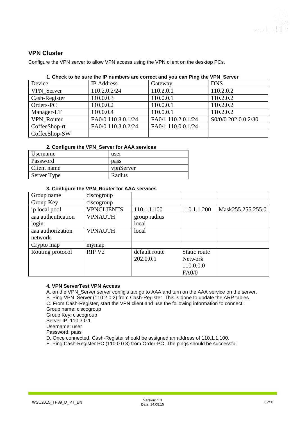

#### **VPN Cluster**

Configure the VPN server to allow VPN access using the VPN client on the desktop PCs.

| 1. Check to be sure the IP numbers are correct and you can Ping the VPN_Server |  |  |
|--------------------------------------------------------------------------------|--|--|
|                                                                                |  |  |

| Device            | <b>IP</b> Address  | Gateway            | <b>DNS</b>          |
|-------------------|--------------------|--------------------|---------------------|
| <b>VPN</b> Server | 110.2.0.2/24       | 110.2.0.1          | 110.2.0.2           |
| Cash-Register     | 110.0.0.3          | 110.0.0.1          | 110.2.0.2           |
| Orders-PC         | 110.0.0.2          | 110.0.0.1          | 110.2.0.2           |
| Manager-LT        | 110.0.0.4          | 110.0.0.1          | 110.2.0.2           |
| <b>VPN</b> Router | FA0/0 110.3.0.1/24 | FA0/1 110.2.0.1/24 | S0/0/0 202.0.0.2/30 |
| CoffeeShop-rt     | FA0/0 110.3.0.2/24 | FA0/1 110.0.0.1/24 |                     |
| CoffeeShop-SW     |                    |                    |                     |

#### **2. Configure the VPN\_Server for AAA services**

| Username    | user      |
|-------------|-----------|
| Password    | pass      |
| Client name | vpnServer |
| Server Type | Radius    |

#### **3. Configure the VPN\_Router for AAA services**

| Group name         | ciscogroup        |               |                |                   |
|--------------------|-------------------|---------------|----------------|-------------------|
| Group Key          | ciscogroup        |               |                |                   |
| ip local pool      | <b>VPNCLIENTS</b> | 110.1.1.100   | 110.1.1.200    | Mask255.255.255.0 |
| aaa authentication | <b>VPNAUTH</b>    | group radius  |                |                   |
| login              |                   | local         |                |                   |
| aaa authorization  | <b>VPNAUTH</b>    | local         |                |                   |
| network            |                   |               |                |                   |
| Crypto map         | mymap             |               |                |                   |
| Routing protocol   | RIP <sub>V2</sub> | default route | Static route   |                   |
|                    |                   | 202.0.0.1     | <b>Network</b> |                   |
|                    |                   |               | 110.0.0.0      |                   |
|                    |                   |               | FA0/0          |                   |

#### **4. VPN ServerTest VPN Access**

A. on the VPN\_Server server config's tab go to AAA and turn on the AAA service on the server.

B. Ping VPN\_Server (110.2.0.2) from Cash-Register. This is done to update the ARP tables.

C. From Cash-Register, start the VPN client and use the following information to connect:

Group name: ciscogroup

Group Key: ciscogroup Server IP: 110.3.0.1

Username: user

Password: pass

D. Once connected, Cash-Register should be assigned an address of 110.1.1.100.

E. Ping Cash-Register PC (110.0.0.3) from Order-PC. The pings should be successful.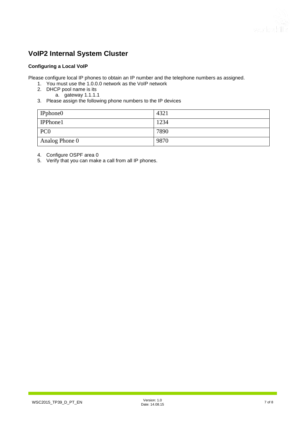# **VoIP2 Internal System Cluster**

#### **Configuring a Local VoIP**

Please configure local IP phones to obtain an IP number and the telephone numbers as assigned.

- 1. You must use the 1.0.0.0 network as the VoIP network
- 2. DHCP pool name is its
	- a. gateway 1.1.1.1
- 3. Please assign the following phone numbers to the IP devices

| IPphone0        | 4321 |
|-----------------|------|
| <b>IPPhone1</b> | 1234 |
| PC <sub>0</sub> | 7890 |
| Analog Phone 0  | 9870 |

4. Configure OSPF area 0

5. Verify that you can make a call from all IP phones.